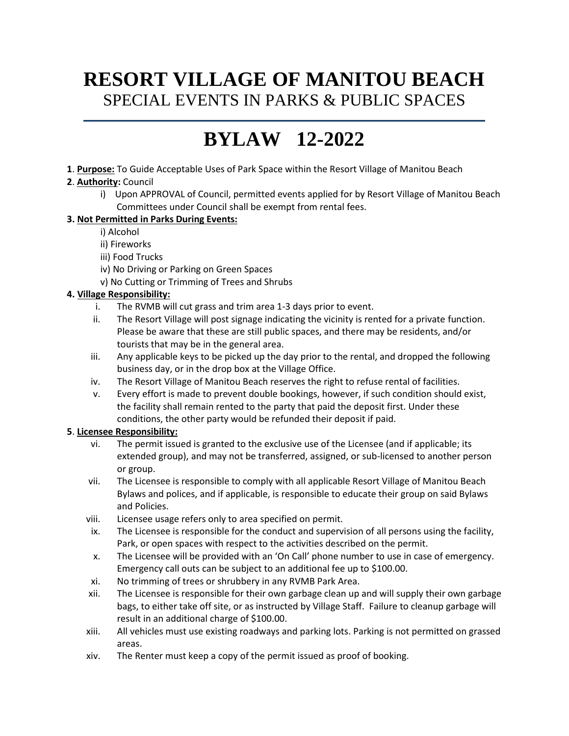# **RESORT VILLAGE OF MANITOU BEACH** SPECIAL EVENTS IN PARKS & PUBLIC SPACES

# **BYLAW 12-2022**

**1**. **Purpose:** To Guide Acceptable Uses of Park Space within the Resort Village of Manitou Beach

# **2**. **Authority:** Council

i) Upon APPROVAL of Council, permitted events applied for by Resort Village of Manitou Beach Committees under Council shall be exempt from rental fees.

# **3. Not Permitted in Parks During Events:**

- i) Alcohol
- ii) Fireworks
- iii) Food Trucks
- iv) No Driving or Parking on Green Spaces
- v) No Cutting or Trimming of Trees and Shrubs

# **4. Village Responsibility:**

- i. The RVMB will cut grass and trim area 1-3 days prior to event.
- ii. The Resort Village will post signage indicating the vicinity is rented for a private function. Please be aware that these are still public spaces, and there may be residents, and/or tourists that may be in the general area.
- iii. Any applicable keys to be picked up the day prior to the rental, and dropped the following business day, or in the drop box at the Village Office.
- iv. The Resort Village of Manitou Beach reserves the right to refuse rental of facilities.
- v. Every effort is made to prevent double bookings, however, if such condition should exist, the facility shall remain rented to the party that paid the deposit first. Under these conditions, the other party would be refunded their deposit if paid.

# **5**. **Licensee Responsibility:**

- vi. The permit issued is granted to the exclusive use of the Licensee (and if applicable; its extended group), and may not be transferred, assigned, or sub-licensed to another person or group.
- vii. The Licensee is responsible to comply with all applicable Resort Village of Manitou Beach Bylaws and polices, and if applicable, is responsible to educate their group on said Bylaws and Policies.
- viii. Licensee usage refers only to area specified on permit.
- ix. The Licensee is responsible for the conduct and supervision of all persons using the facility, Park, or open spaces with respect to the activities described on the permit.
- x. The Licensee will be provided with an 'On Call' phone number to use in case of emergency. Emergency call outs can be subject to an additional fee up to \$100.00.
- xi. No trimming of trees or shrubbery in any RVMB Park Area.
- xii. The Licensee is responsible for their own garbage clean up and will supply their own garbage bags, to either take off site, or as instructed by Village Staff. Failure to cleanup garbage will result in an additional charge of \$100.00.
- xiii. All vehicles must use existing roadways and parking lots. Parking is not permitted on grassed areas.
- xiv. The Renter must keep a copy of the permit issued as proof of booking.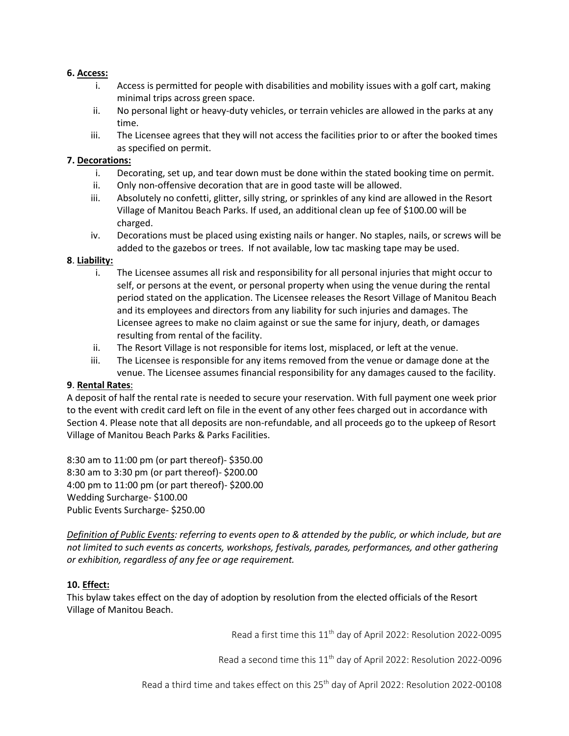#### **6. Access:**

- i. Access is permitted for people with disabilities and mobility issues with a golf cart, making minimal trips across green space.
- ii. No personal light or heavy-duty vehicles, or terrain vehicles are allowed in the parks at any time.
- iii. The Licensee agrees that they will not access the facilities prior to or after the booked times as specified on permit.

#### **7. Decorations:**

- i. Decorating, set up, and tear down must be done within the stated booking time on permit.
- ii. Only non-offensive decoration that are in good taste will be allowed.
- iii. Absolutely no confetti, glitter, silly string, or sprinkles of any kind are allowed in the Resort Village of Manitou Beach Parks. If used, an additional clean up fee of \$100.00 will be charged.
- iv. Decorations must be placed using existing nails or hanger. No staples, nails, or screws will be added to the gazebos or trees. If not available, low tac masking tape may be used.

#### **8**. **Liability:**

- i. The Licensee assumes all risk and responsibility for all personal injuries that might occur to self, or persons at the event, or personal property when using the venue during the rental period stated on the application. The Licensee releases the Resort Village of Manitou Beach and its employees and directors from any liability for such injuries and damages. The Licensee agrees to make no claim against or sue the same for injury, death, or damages resulting from rental of the facility.
- ii. The Resort Village is not responsible for items lost, misplaced, or left at the venue.
- iii. The Licensee is responsible for any items removed from the venue or damage done at the venue. The Licensee assumes financial responsibility for any damages caused to the facility.

#### **9**. **Rental Rates**:

A deposit of half the rental rate is needed to secure your reservation. With full payment one week prior to the event with credit card left on file in the event of any other fees charged out in accordance with Section 4. Please note that all deposits are non-refundable, and all proceeds go to the upkeep of Resort Village of Manitou Beach Parks & Parks Facilities.

8:30 am to 11:00 pm (or part thereof)- \$350.00 8:30 am to 3:30 pm (or part thereof)- \$200.00 4:00 pm to 11:00 pm (or part thereof)- \$200.00 Wedding Surcharge- \$100.00 Public Events Surcharge- \$250.00

*Definition of Public Events: referring to events open to & attended by the public, or which include, but are not limited to such events as concerts, workshops, festivals, parades, performances, and other gathering or exhibition, regardless of any fee or age requirement.*

#### **10. Effect:**

This bylaw takes effect on the day of adoption by resolution from the elected officials of the Resort Village of Manitou Beach.

Read a first time this 11th day of April 2022: Resolution 2022-0095

Read a second time this 11<sup>th</sup> day of April 2022: Resolution 2022-0096

Read a third time and takes effect on this 25<sup>th</sup> day of April 2022: Resolution 2022-00108